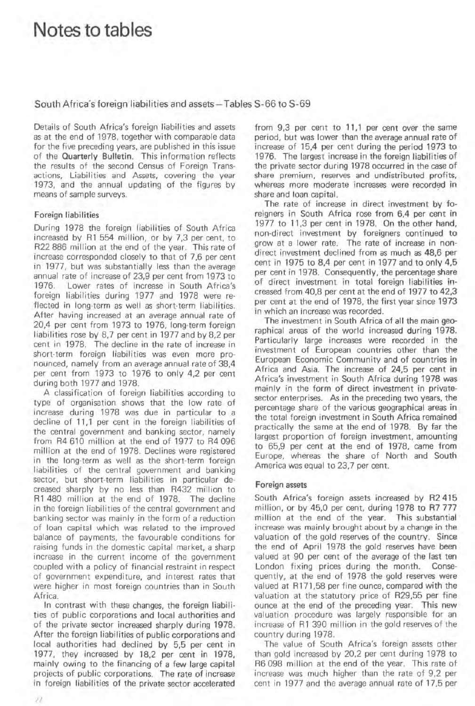## Notes to tables

South Africa's foreign liabilities and assets-Tables S-66 to S-69

Details of South Africa's foreign liabilities and assets as at the end of 1978. together with comparable data for the five preceding years, are published in this issue of the Quarterly Bulletin. This information reflects the results of the second Census of Foreign Trans· actions, Liabilities and Assets, covering the year 1973, and the annual updating of the figures by means of sample surveys.

## Foreign liabilities

During 1978 the foreign liabilities of South Africa increased by Rl 554 million, or by 7,3 per cent, to R22 886 million at the end of the year. This rate of increase corresponded closely to that of 7,6 per cent in 1977, but was substantially less than the average annual rate of increase of 23.9 per cent from 1973 to Lower rates of increase in South Africa's foreign liabilities during 1977 and 1978 were reflected in long-term as well as short-term liabilities. After having increased at an average annual rate of 20,4 per cent from 1973 to 1976. long·term foreign liabilities rose by 8,7 per cent in 1977 and by 8,2 per cent in 1978. The decline in the rate of increase in short· term foreign liabilities was even more pronounced. namely from an average annual rate of 38.4 per cent from 1973 to 1976 to only 4,2 per cent during both 1977 and 1978.

A classification of foreign liabilities according to type of organisation shows that the low rate of increase during 1978 was due in particular to a decline of 11,1 per cent in the foreign liabilities of the central government and banking sector, namely from R4 610 million at the end of 1977 to R4 096 million at the end of 1978. Declines were registered in the long·term as well as the short· term foreign liabilities of the central government and banking sector, but short-term liabilities in particular decreased sharply by no less than R432 million to R1480 million at the end of 1978. The decline in the foreign liabilities of the central government and banking sector was mainly in the form of a reduction of loan capital which was related to the improved balance of payments, the favourable conditions for raising funds in the domestic capital market, a sharp increase in the current income of the government coupled with a policy of financial restraint in respect of government expenditure, and interest rates that were higher in most foreign countries than in South Africa.

In contrast with these changes, the foreign liabili· ties of public corporations and local authorities and of the private sector increased sharply during 1978. After the foreign liabilities of public corporations and local authorities had declined by 5.5 per cent in 1977, they increased by 18,2 per cent in 1978, mainly owing to the financing of a few large capital projects of public corporations. The rate of increase in foreign liabilities of the private sector accelerated

from  $9,3$  per cent to  $11,1$  per cent over the same period, but was lower than the average annual rate of increase of 15.4 per cent during the period 1973 to 1976. The largest increase in the foreign liabilities of the private sector during 1978 occurred in the case of share premium. reserves and undistributed profits, whereas more moderate increases were recorded jn share and loan capital.

The rate of increase in direct investment by foreigners in South Africa rose from 6.4 per cent in 1977 to 11,3 per cent in 1978. On the other hand, non-direct investment by foreigners continued to grow at a lower rate. The rate of increase in nondirect investment declined from as much as 48.6 per cent in 1975 to 8,4 per cent in 1977 and to only 4,5 per cent in 1978. Consequently, the percentage share of direct investment in total foreign liabilities increased from 40,8 per cent at the end of 1977 to 42,3 per cent at the end of 1978. the first year since 1973 in which an increase was recorded,

The investment in South Africa of all the main georaphical areas of the world increased during 1978. Particularly large increases were recorded in the investment of European countries other than the European Economic Community and of countries in Africa and Asia. The increase of 24,5 per cent in Africa's investment in South Africa during 1978 was mainly in the form of direct investment in privatesector enterprises. As in the preceding two years, the percentage share of the various geographical areas in the total foreign investment in South Africa remained practically the same at the end of 1978. By far the largest proportion of foreign investment, amounting to 65,9 per cent at the end of 1978, came from Europe. whereas the share of North and South America was equal to 23,7 per cent.

## Foreign assets

South Africa's foreign assets increased by R2415 mitlion, or by 45,0 per cent. during 1978 to R7 777 million at the end of the year. This substantial increase was mainly brought about by a change in the valuation of the gold reserves of the country. Since the end of April 1978 the gold reserves have been valued at 90 per cent of the average of the last ten London fixing prices during the month. Consequently, at the end of 1978 the gold reserves were valued at R171 ,58 per fine ounce, compared with the valuation at the statutory price of R29,55 per fine ounce at the end of the preceding year. This new valuation procedure was largely responsible for an increase of R1 390 million in the gold reserves of the country during 1978.

The value of South Africa's foreign assets other than gold increased by 20.2 per cent during 1978 to R6098 million at the end of the year. This rate of increase was much higher than the rate of 9.2 per cent in 1977 and the average annual rate of 17,5 per